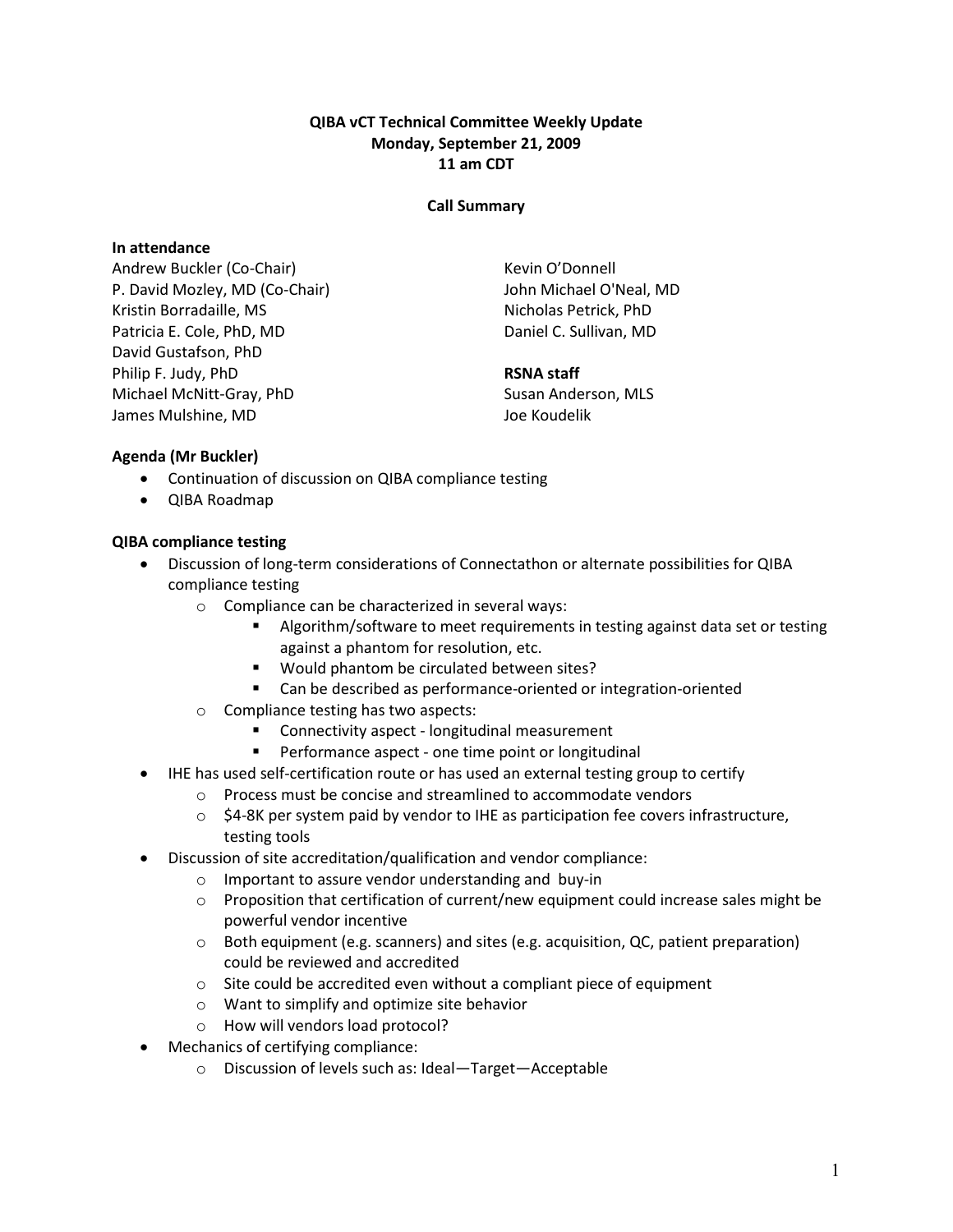## QIBA vCT Technical Committee Weekly Update Monday, September 21, 2009 11 am CDT

#### Call Summary

#### In attendance

Andrew Buckler (Co-Chair) P. David Mozley, MD (Co-Chair) Kristin Borradaille, MS Patricia E. Cole, PhD, MD David Gustafson, PhD Philip F. Judy, PhD Michael McNitt-Gray, PhD James Mulshine, MD

Kevin O'Donnell John Michael O'Neal, MD Nicholas Petrick, PhD Daniel C. Sullivan, MD

## RSNA staff

Susan Anderson, MLS Joe Koudelik

## Agenda (Mr Buckler)

- Continuation of discussion on QIBA compliance testing
- QIBA Roadmap

## QIBA compliance testing

- Discussion of long-term considerations of Connectathon or alternate possibilities for QIBA compliance testing
	- o Compliance can be characterized in several ways:
		- Algorithm/software to meet requirements in testing against data set or testing against a phantom for resolution, etc.
		- **Would phantom be circulated between sites?**
		- Can be described as performance-oriented or integration-oriented
	- o Compliance testing has two aspects:
		- Connectivity aspect longitudinal measurement
		- **Performance aspect one time point or longitudinal**
- IHE has used self-certification route or has used an external testing group to certify
	- o Process must be concise and streamlined to accommodate vendors
	- $\circ$  \$4-8K per system paid by vendor to IHE as participation fee covers infrastructure, testing tools
- Discussion of site accreditation/qualification and vendor compliance:
	- o Important to assure vendor understanding and buy-in
	- $\circ$  Proposition that certification of current/new equipment could increase sales might be powerful vendor incentive
	- $\circ$  Both equipment (e.g. scanners) and sites (e.g. acquisition, QC, patient preparation) could be reviewed and accredited
	- o Site could be accredited even without a compliant piece of equipment
	- o Want to simplify and optimize site behavior
	- o How will vendors load protocol?
- Mechanics of certifying compliance:
	- o Discussion of levels such as: Ideal—Target—Acceptable